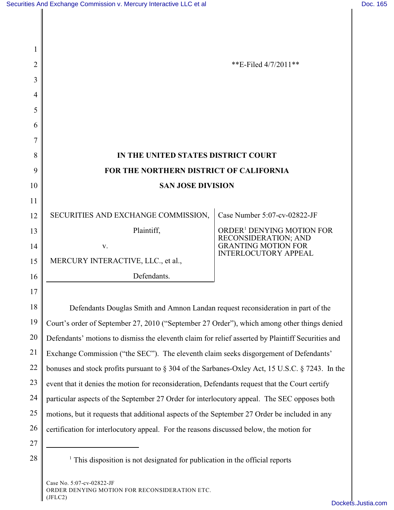| 2  | **E-Filed 4/7/2011**                                                                                   |                                                               |  |
|----|--------------------------------------------------------------------------------------------------------|---------------------------------------------------------------|--|
| 3  |                                                                                                        |                                                               |  |
| 4  |                                                                                                        |                                                               |  |
| 5  |                                                                                                        |                                                               |  |
| 6  |                                                                                                        |                                                               |  |
| 7  |                                                                                                        |                                                               |  |
| 8  | IN THE UNITED STATES DISTRICT COURT                                                                    |                                                               |  |
| 9  | FOR THE NORTHERN DISTRICT OF CALIFORNIA                                                                |                                                               |  |
| 10 | <b>SAN JOSE DIVISION</b>                                                                               |                                                               |  |
| 11 |                                                                                                        |                                                               |  |
| 12 | SECURITIES AND EXCHANGE COMMISSION,                                                                    | Case Number 5:07-cv-02822-JF                                  |  |
| 13 | Plaintiff,                                                                                             | ORDER <sup>1</sup> DENYING MOTION FOR<br>RECONSIDERATION; AND |  |
| 14 | V.                                                                                                     | <b>GRANTING MOTION FOR</b><br><b>INTERLOCUTORY APPEAL</b>     |  |
| 15 | MERCURY INTERACTIVE, LLC., et al.,                                                                     |                                                               |  |
| 16 | Defendants.                                                                                            |                                                               |  |
| 17 |                                                                                                        |                                                               |  |
| 18 | Defendants Douglas Smith and Amnon Landan request reconsideration in part of the                       |                                                               |  |
| 19 | Court's order of September 27, 2010 ("September 27 Order"), which among other things denied            |                                                               |  |
| 20 | Defendants' motions to dismiss the eleventh claim for relief asserted by Plaintiff Securities and      |                                                               |  |
| 21 | Exchange Commission ("the SEC"). The eleventh claim seeks disgorgement of Defendants'                  |                                                               |  |
| 22 | bonuses and stock profits pursuant to $\S 304$ of the Sarbanes-Oxley Act, 15 U.S.C. $\S 7243$ . In the |                                                               |  |
| 23 | event that it denies the motion for reconsideration, Defendants request that the Court certify         |                                                               |  |
| 24 | particular aspects of the September 27 Order for interlocutory appeal. The SEC opposes both            |                                                               |  |
| 25 | motions, but it requests that additional aspects of the September 27 Order be included in any          |                                                               |  |
| 26 | certification for interlocutory appeal. For the reasons discussed below, the motion for                |                                                               |  |
| 27 |                                                                                                        |                                                               |  |
| 28 | $\frac{1}{1}$ This disposition is not designated for publication in the official reports               |                                                               |  |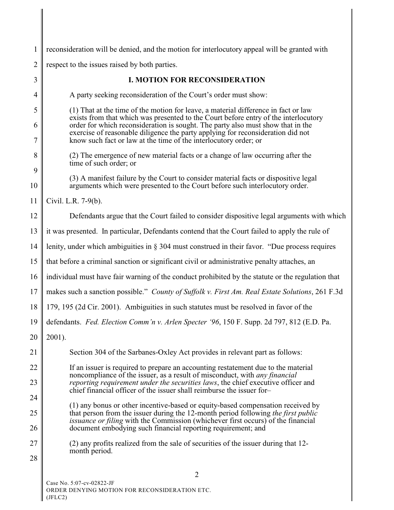| $\mathbf{1}$   | reconsideration will be denied, and the motion for interlocutory appeal will be granted with                                                                                                                                                                                                                                  |  |  |
|----------------|-------------------------------------------------------------------------------------------------------------------------------------------------------------------------------------------------------------------------------------------------------------------------------------------------------------------------------|--|--|
| $\overline{2}$ | respect to the issues raised by both parties.                                                                                                                                                                                                                                                                                 |  |  |
| 3              | <b>I. MOTION FOR RECONSIDERATION</b>                                                                                                                                                                                                                                                                                          |  |  |
| 4              | A party seeking reconsideration of the Court's order must show:                                                                                                                                                                                                                                                               |  |  |
| 5              | (1) That at the time of the motion for leave, a material difference in fact or law                                                                                                                                                                                                                                            |  |  |
| 6<br>7         | exists from that which was presented to the Court before entry of the interlocutory<br>order for which reconsideration is sought. The party also must show that in the<br>exercise of reasonable diligence the party applying for reconsideration did not<br>know such fact or law at the time of the interlocutory order; or |  |  |
| 8              | (2) The emergence of new material facts or a change of law occurring after the<br>time of such order; or                                                                                                                                                                                                                      |  |  |
| 9<br>10        | (3) A manifest failure by the Court to consider material facts or dispositive legal<br>arguments which were presented to the Court before such interlocutory order.                                                                                                                                                           |  |  |
| 11             | Civil. L.R. 7-9(b).                                                                                                                                                                                                                                                                                                           |  |  |
| 12             | Defendants argue that the Court failed to consider dispositive legal arguments with which                                                                                                                                                                                                                                     |  |  |
| 13             | it was presented. In particular, Defendants contend that the Court failed to apply the rule of                                                                                                                                                                                                                                |  |  |
| 14             | lenity, under which ambiguities in $\S$ 304 must construed in their favor. "Due process requires                                                                                                                                                                                                                              |  |  |
| 15             | that before a criminal sanction or significant civil or administrative penalty attaches, an                                                                                                                                                                                                                                   |  |  |
| 16             | individual must have fair warning of the conduct prohibited by the statute or the regulation that                                                                                                                                                                                                                             |  |  |
| 17             | makes such a sanction possible." County of Suffolk v. First Am. Real Estate Solutions, 261 F.3d                                                                                                                                                                                                                               |  |  |
| 18             | 179, 195 (2d Cir. 2001). Ambiguities in such statutes must be resolved in favor of the                                                                                                                                                                                                                                        |  |  |
| 19             | defendants. Fed. Election Comm'n v. Arlen Specter '96, 150 F. Supp. 2d 797, 812 (E.D. Pa.                                                                                                                                                                                                                                     |  |  |
| 20             | 2001).                                                                                                                                                                                                                                                                                                                        |  |  |
| 21             | Section 304 of the Sarbanes-Oxley Act provides in relevant part as follows:                                                                                                                                                                                                                                                   |  |  |
| 22             | If an issuer is required to prepare an accounting restatement due to the material<br>noncompliance of the issuer, as a result of misconduct, with <i>any financial</i>                                                                                                                                                        |  |  |
| 23             | reporting requirement under the securities laws, the chief executive officer and<br>chief financial officer of the issuer shall reimburse the issuer for-                                                                                                                                                                     |  |  |
| 24             | (1) any bonus or other incentive-based or equity-based compensation received by                                                                                                                                                                                                                                               |  |  |
| 25<br>26       | that person from the issuer during the 12-month period following the first public<br><i>issuance or filing</i> with the Commission (whichever first occurs) of the financial<br>document embodying such financial reporting requirement; and                                                                                  |  |  |
| 27<br>28       | (2) any profits realized from the sale of securities of the issuer during that 12-<br>month period.                                                                                                                                                                                                                           |  |  |
|                | $\overline{2}$                                                                                                                                                                                                                                                                                                                |  |  |
|                | $5.07 \times 0.2822$ IE                                                                                                                                                                                                                                                                                                       |  |  |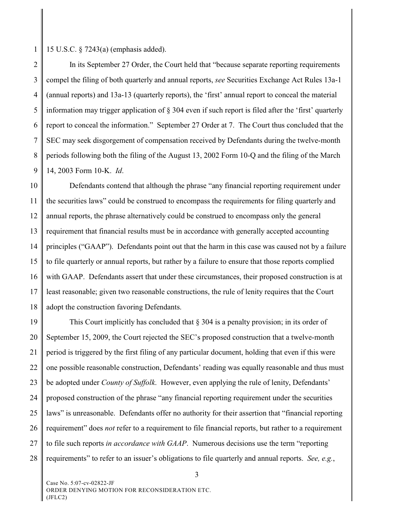1 15 U.S.C. § 7243(a) (emphasis added).

2 3 4 5 6 7 8 9 In its September 27 Order, the Court held that "because separate reporting requirements compel the filing of both quarterly and annual reports, *see* Securities Exchange Act Rules 13a-1 (annual reports) and 13a-13 (quarterly reports), the 'first' annual report to conceal the material information may trigger application of § 304 even if such report is filed after the 'first' quarterly report to conceal the information." September 27 Order at 7. The Court thus concluded that the SEC may seek disgorgement of compensation received by Defendants during the twelve-month periods following both the filing of the August 13, 2002 Form 10-Q and the filing of the March 14, 2003 Form 10-K. *Id*.

10 11 12 13 14 15 16 17 18 Defendants contend that although the phrase "any financial reporting requirement under the securities laws" could be construed to encompass the requirements for filing quarterly and annual reports, the phrase alternatively could be construed to encompass only the general requirement that financial results must be in accordance with generally accepted accounting principles ("GAAP"). Defendants point out that the harm in this case was caused not by a failure to file quarterly or annual reports, but rather by a failure to ensure that those reports complied with GAAP. Defendants assert that under these circumstances, their proposed construction is at least reasonable; given two reasonable constructions, the rule of lenity requires that the Court adopt the construction favoring Defendants.

19 20 21 22 23 24 25 26 27 28 This Court implicitly has concluded that  $\S 304$  is a penalty provision; in its order of September 15, 2009, the Court rejected the SEC's proposed construction that a twelve-month period is triggered by the first filing of any particular document, holding that even if this were one possible reasonable construction, Defendants' reading was equally reasonable and thus must be adopted under *County of Suffolk*. However, even applying the rule of lenity, Defendants' proposed construction of the phrase "any financial reporting requirement under the securities laws" is unreasonable. Defendants offer no authority for their assertion that "financial reporting requirement" does *not* refer to a requirement to file financial reports, but rather to a requirement to file such reports *in accordance with GAAP*. Numerous decisions use the term "reporting requirements" to refer to an issuer's obligations to file quarterly and annual reports. *See, e.g.*,

Case No. 5:07-cv-02822-JF ORDER DENYING MOTION FOR RECONSIDERATION ETC. (JFLC2)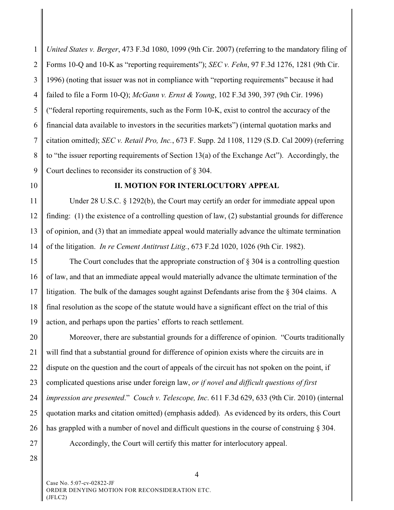1 2 3 4 5 6 7 8 9 *United States v. Berger*, 473 F.3d 1080, 1099 (9th Cir. 2007) (referring to the mandatory filing of Forms 10-Q and 10-K as "reporting requirements"); *SEC v. Fehn*, 97 F.3d 1276, 1281 (9th Cir. 1996) (noting that issuer was not in compliance with "reporting requirements" because it had failed to file a Form 10-Q); *McGann v. Ernst & Young*, 102 F.3d 390, 397 (9th Cir. 1996) ("federal reporting requirements, such as the Form 10-K, exist to control the accuracy of the financial data available to investors in the securities markets") (internal quotation marks and citation omitted); *SEC v. Retail Pro, Inc.*, 673 F. Supp. 2d 1108, 1129 (S.D. Cal 2009) (referring to "the issuer reporting requirements of Section 13(a) of the Exchange Act"). Accordingly, the Court declines to reconsider its construction of § 304.

10

## **II. MOTION FOR INTERLOCUTORY APPEAL**

11 12 13 14 Under 28 U.S.C. § 1292(b), the Court may certify an order for immediate appeal upon finding: (1) the existence of a controlling question of law, (2) substantial grounds for difference of opinion, and (3) that an immediate appeal would materially advance the ultimate termination of the litigation. *In re Cement Antitrust Litig.*, 673 F.2d 1020, 1026 (9th Cir. 1982).

15 16 17 18 19 The Court concludes that the appropriate construction of  $\S 304$  is a controlling question of law, and that an immediate appeal would materially advance the ultimate termination of the litigation. The bulk of the damages sought against Defendants arise from the § 304 claims. A final resolution as the scope of the statute would have a significant effect on the trial of this action, and perhaps upon the parties' efforts to reach settlement.

20 21 22 23 24 25 26 27 Moreover, there are substantial grounds for a difference of opinion. "Courts traditionally will find that a substantial ground for difference of opinion exists where the circuits are in dispute on the question and the court of appeals of the circuit has not spoken on the point, if complicated questions arise under foreign law, *or if novel and difficult questions of first impression are presented*." *Couch v. Telescope, Inc*. 611 F.3d 629, 633 (9th Cir. 2010) (internal quotation marks and citation omitted) (emphasis added). As evidenced by its orders, this Court has grappled with a number of novel and difficult questions in the course of construing § 304. Accordingly, the Court will certify this matter for interlocutory appeal.

28